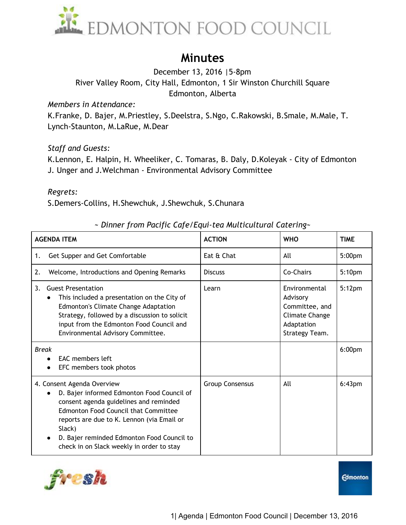

## **Minutes**

December 13, 2016 |5-8pm River Valley Room, City Hall, Edmonton, 1 Sir Winston Churchill Square Edmonton, Alberta

*Members in Attendance:* 

K.Franke, D. Bajer, M.Priestley, S.Deelstra, S.Ngo, C.Rakowski, B.Smale, M.Male, T. Lynch-Staunton, M.LaRue, M.Dear

## *Staff and Guests:*

K.Lennon, E. Halpin, H. Wheeliker, C. Tomaras, B. Daly, D.Koleyak - City of Edmonton J. Unger and J.Welchman - Environmental Advisory Committee

*Regrets:* 

S.Demers-Collins, H.Shewchuk, J.Shewchuk, S.Chunara

| $\sim$ Dinner from Pacific Cafe/Equi-tea Multicultural Catering $\sim$ |               |            |
|------------------------------------------------------------------------|---------------|------------|
| м                                                                      | <b>ACTION</b> | <b>WHO</b> |
|                                                                        |               |            |

| <b>AGENDA ITEM</b>                                                                                                                                                                                                                                                                                                   | <b>ACTION</b>          | <b>WHO</b>                                                                                    | <b>TIME</b>        |
|----------------------------------------------------------------------------------------------------------------------------------------------------------------------------------------------------------------------------------------------------------------------------------------------------------------------|------------------------|-----------------------------------------------------------------------------------------------|--------------------|
| Get Supper and Get Comfortable<br>1.                                                                                                                                                                                                                                                                                 | Eat & Chat             | All                                                                                           | 5:00 <sub>pm</sub> |
| Welcome, Introductions and Opening Remarks<br>2.                                                                                                                                                                                                                                                                     | <b>Discuss</b>         | Co-Chairs                                                                                     | 5:10 <sub>pm</sub> |
| <b>Guest Presentation</b><br>3.<br>This included a presentation on the City of<br>Edmonton's Climate Change Adaptation<br>Strategy, followed by a discussion to solicit<br>input from the Edmonton Food Council and<br>Environmental Advisory Committee.                                                             | Learn                  | Environmental<br>Advisory<br>Committee, and<br>Climate Change<br>Adaptation<br>Strategy Team. | 5:12 <sub>pm</sub> |
| <b>Break</b><br>EAC members left<br>EFC members took photos                                                                                                                                                                                                                                                          |                        |                                                                                               | 6:00 <sub>pm</sub> |
| 4. Consent Agenda Overview<br>D. Bajer informed Edmonton Food Council of<br>consent agenda guidelines and reminded<br><b>Edmonton Food Council that Committee</b><br>reports are due to K. Lennon (via Email or<br>Slack)<br>D. Bajer reminded Edmonton Food Council to<br>check in on Slack weekly in order to stay | <b>Group Consensus</b> | All                                                                                           | 6:43 <sub>pm</sub> |

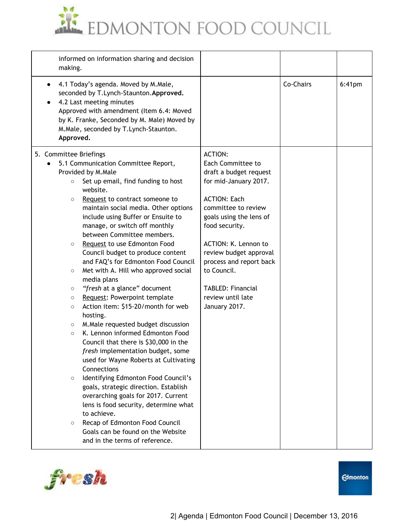

| informed on information sharing and decision<br>making.                                                                                                                                                                                                                                                                                                                                                                                                                                                                                                                                                                                                                                                                                                                                                                                                                                                                                                                                                                                                                                                                                                                                                                                     |                                                                                                                                                                                                                                                                                                                                                 |           |           |
|---------------------------------------------------------------------------------------------------------------------------------------------------------------------------------------------------------------------------------------------------------------------------------------------------------------------------------------------------------------------------------------------------------------------------------------------------------------------------------------------------------------------------------------------------------------------------------------------------------------------------------------------------------------------------------------------------------------------------------------------------------------------------------------------------------------------------------------------------------------------------------------------------------------------------------------------------------------------------------------------------------------------------------------------------------------------------------------------------------------------------------------------------------------------------------------------------------------------------------------------|-------------------------------------------------------------------------------------------------------------------------------------------------------------------------------------------------------------------------------------------------------------------------------------------------------------------------------------------------|-----------|-----------|
| 4.1 Today's agenda. Moved by M.Male,<br>seconded by T.Lynch-Staunton.Approved.<br>4.2 Last meeting minutes<br>Approved with amendment (Item 6.4: Moved<br>by K. Franke, Seconded by M. Male) Moved by<br>M.Male, seconded by T.Lynch-Staunton.<br>Approved.                                                                                                                                                                                                                                                                                                                                                                                                                                                                                                                                                                                                                                                                                                                                                                                                                                                                                                                                                                                 |                                                                                                                                                                                                                                                                                                                                                 | Co-Chairs | $6:41$ pm |
| 5. Committee Briefings<br>5.1 Communication Committee Report,<br>Provided by M.Male<br>Set up email, find funding to host<br>$\circ$<br>website.<br>Request to contract someone to<br>$\circ$<br>maintain social media. Other options<br>include using Buffer or Ensuite to<br>manage, or switch off monthly<br>between Committee members.<br>Request to use Edmonton Food<br>$\circ$<br>Council budget to produce content<br>and FAQ's for Edmonton Food Council<br>Met with A. Hill who approved social<br>$\circ$<br>media plans<br>"fresh at a glance" document<br>$\circ$<br>Request: Powerpoint template<br>$\circ$<br>Action item: \$15-20/month for web<br>$\circ$<br>hosting.<br>M. Male requested budget discussion<br>$\circ$<br>K. Lennon informed Edmonton Food<br>$\circ$<br>Council that there is \$30,000 in the<br>fresh implementation budget, some<br>used for Wayne Roberts at Cultivating<br>Connections<br>Identifying Edmonton Food Council's<br>$\circ$<br>goals, strategic direction. Establish<br>overarching goals for 2017. Current<br>lens is food security, determine what<br>to achieve.<br>Recap of Edmonton Food Council<br>$\circ$<br>Goals can be found on the Website<br>and in the terms of reference. | <b>ACTION:</b><br>Each Committee to<br>draft a budget request<br>for mid-January 2017.<br><b>ACTION: Each</b><br>committee to review<br>goals using the lens of<br>food security.<br>ACTION: K. Lennon to<br>review budget approval<br>process and report back<br>to Council.<br><b>TABLED: Financial</b><br>review until late<br>January 2017. |           |           |

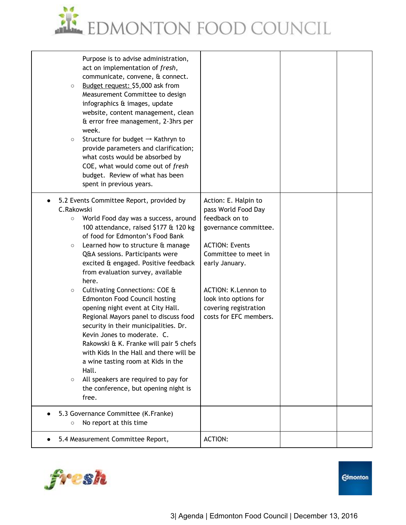

| Purpose is to advise administration,<br>act on implementation of fresh,<br>communicate, convene, & connect.<br>Budget request: \$5,000 ask from<br>$\circ$<br>Measurement Committee to design<br>infographics & images, update<br>website, content management, clean<br>& error free management, 2-3hrs per<br>week.<br>Structure for budget $\rightarrow$ Kathryn to<br>$\circ$<br>provide parameters and clarification;<br>what costs would be absorbed by<br>COE, what would come out of fresh<br>budget. Review of what has been<br>spent in previous years.                                                                                                                                                                                                                                                                                   |                                                                                                                                                                                                                                                              |  |
|----------------------------------------------------------------------------------------------------------------------------------------------------------------------------------------------------------------------------------------------------------------------------------------------------------------------------------------------------------------------------------------------------------------------------------------------------------------------------------------------------------------------------------------------------------------------------------------------------------------------------------------------------------------------------------------------------------------------------------------------------------------------------------------------------------------------------------------------------|--------------------------------------------------------------------------------------------------------------------------------------------------------------------------------------------------------------------------------------------------------------|--|
| 5.2 Events Committee Report, provided by<br>C.Rakowski<br>World Food day was a success, around<br>$\circ$<br>100 attendance, raised \$177 & 120 kg<br>of food for Edmonton's Food Bank<br>Learned how to structure & manage<br>$\circ$<br>Q&A sessions. Participants were<br>excited & engaged. Positive feedback<br>from evaluation survey, available<br>here.<br>Cultivating Connections: COE &<br>$\circ$<br><b>Edmonton Food Council hosting</b><br>opening night event at City Hall.<br>Regional Mayors panel to discuss food<br>security in their municipalities. Dr.<br>Kevin Jones to moderate. C.<br>Rakowski & K. Franke will pair 5 chefs<br>with Kids In the Hall and there will be<br>a wine tasting room at Kids in the<br>Hall.<br>All speakers are required to pay for<br>$\circ$<br>the conference, but opening night is<br>free. | Action: E. Halpin to<br>pass World Food Day<br>feedback on to<br>governance committee.<br><b>ACTION: Events</b><br>Committee to meet in<br>early January.<br>ACTION: K.Lennon to<br>look into options for<br>covering registration<br>costs for EFC members. |  |
| 5.3 Governance Committee (K.Franke)<br>No report at this time<br>$\circ$                                                                                                                                                                                                                                                                                                                                                                                                                                                                                                                                                                                                                                                                                                                                                                           |                                                                                                                                                                                                                                                              |  |
| 5.4 Measurement Committee Report,                                                                                                                                                                                                                                                                                                                                                                                                                                                                                                                                                                                                                                                                                                                                                                                                                  | <b>ACTION:</b>                                                                                                                                                                                                                                               |  |

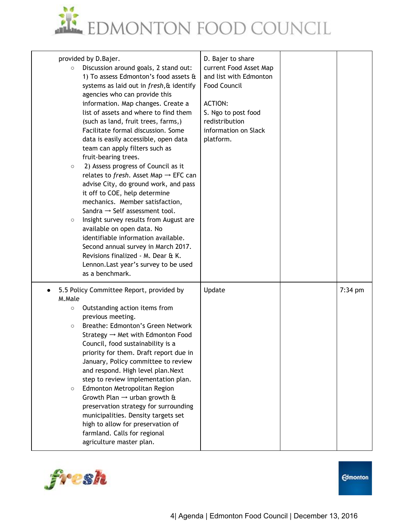

| provided by D.Bajer.<br>Discussion around goals, 2 stand out:<br>$\circ$<br>1) To assess Edmonton's food assets &<br>systems as laid out in fresh, & identify<br>agencies who can provide this<br>information. Map changes. Create a<br>list of assets and where to find them<br>(such as land, fruit trees, farms,)<br>Facilitate formal discussion. Some<br>data is easily accessible, open data<br>team can apply filters such as<br>fruit-bearing trees.<br>2) Assess progress of Council as it<br>$\circ$<br>relates to fresh. Asset Map $\rightarrow$ EFC can<br>advise City, do ground work, and pass<br>it off to COE, help determine<br>mechanics. Member satisfaction,<br>Sandra $\rightarrow$ Self assessment tool.<br>Insight survey results from August are<br>$\circ$<br>available on open data. No<br>identifiable information available.<br>Second annual survey in March 2017.<br>Revisions finalized - M. Dear & K.<br>Lennon. Last year's survey to be used<br>as a benchmark. | D. Bajer to share<br>current Food Asset Map<br>and list with Edmonton<br><b>Food Council</b><br><b>ACTION:</b><br>S. Ngo to post food<br>redistribution<br>information on Slack<br>platform. |           |
|---------------------------------------------------------------------------------------------------------------------------------------------------------------------------------------------------------------------------------------------------------------------------------------------------------------------------------------------------------------------------------------------------------------------------------------------------------------------------------------------------------------------------------------------------------------------------------------------------------------------------------------------------------------------------------------------------------------------------------------------------------------------------------------------------------------------------------------------------------------------------------------------------------------------------------------------------------------------------------------------------|----------------------------------------------------------------------------------------------------------------------------------------------------------------------------------------------|-----------|
| 5.5 Policy Committee Report, provided by<br>M.Male<br>Outstanding action items from<br>$\circ$<br>previous meeting.<br>Breathe: Edmonton's Green Network<br>$\circ$<br>Strategy $\rightarrow$ Met with Edmonton Food<br>Council, food sustainability is a<br>priority for them. Draft report due in<br>January, Policy committee to review<br>and respond. High level plan. Next<br>step to review implementation plan.<br>Edmonton Metropolitan Region<br>$\circ$<br>Growth Plan $\rightarrow$ urban growth &<br>preservation strategy for surrounding<br>municipalities. Density targets set<br>high to allow for preservation of<br>farmland. Calls for regional<br>agriculture master plan.                                                                                                                                                                                                                                                                                                   | Update                                                                                                                                                                                       | $7:34$ pm |

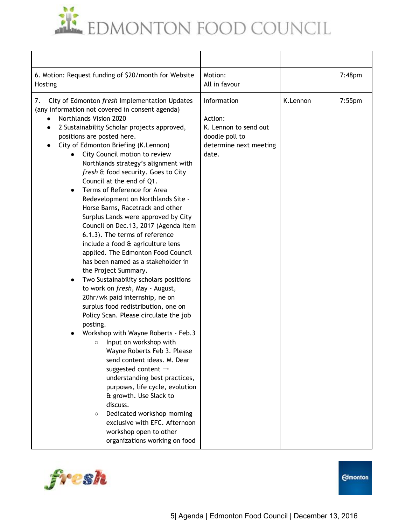EDMONTON FOOD COUNCIL

| 6. Motion: Request funding of \$20/month for Website<br>Hosting                                                                                                                                                                                                                                                                                                                                                                                                                                                                                                                                                                                                                                                                                                                                                                                                                                                                                                                                                                                                                                                                                                                                                                                                                                                                                                                                                          | Motion:<br>All in favour                                                                             |          | $7:48$ pm |
|--------------------------------------------------------------------------------------------------------------------------------------------------------------------------------------------------------------------------------------------------------------------------------------------------------------------------------------------------------------------------------------------------------------------------------------------------------------------------------------------------------------------------------------------------------------------------------------------------------------------------------------------------------------------------------------------------------------------------------------------------------------------------------------------------------------------------------------------------------------------------------------------------------------------------------------------------------------------------------------------------------------------------------------------------------------------------------------------------------------------------------------------------------------------------------------------------------------------------------------------------------------------------------------------------------------------------------------------------------------------------------------------------------------------------|------------------------------------------------------------------------------------------------------|----------|-----------|
| 7.<br>City of Edmonton fresh Implementation Updates<br>(any information not covered in consent agenda)<br>Northlands Vision 2020<br>2 Sustainability Scholar projects approved,<br>$\bullet$<br>positions are posted here.<br>City of Edmonton Briefing (K.Lennon)<br>City Council motion to review<br>Northlands strategy's alignment with<br>fresh & food security. Goes to City<br>Council at the end of Q1.<br>Terms of Reference for Area<br>Redevelopment on Northlands Site -<br>Horse Barns, Racetrack and other<br>Surplus Lands were approved by City<br>Council on Dec.13, 2017 (Agenda Item<br>6.1.3). The terms of reference<br>include a food & agriculture lens<br>applied. The Edmonton Food Council<br>has been named as a stakeholder in<br>the Project Summary.<br>Two Sustainability scholars positions<br>to work on fresh, May - August,<br>20hr/wk paid internship, ne on<br>surplus food redistribution, one on<br>Policy Scan. Please circulate the job<br>posting.<br>Workshop with Wayne Roberts - Feb.3<br>Input on workshop with<br>$\circ$<br>Wayne Roberts Feb 3. Please<br>send content ideas. M. Dear<br>suggested content $\rightarrow$<br>understanding best practices,<br>purposes, life cycle, evolution<br>& growth. Use Slack to<br>discuss.<br>Dedicated workshop morning<br>$\circ$<br>exclusive with EFC. Afternoon<br>workshop open to other<br>organizations working on food | Information<br>Action:<br>K. Lennon to send out<br>doodle poll to<br>determine next meeting<br>date. | K.Lennon | $7:55$ pm |